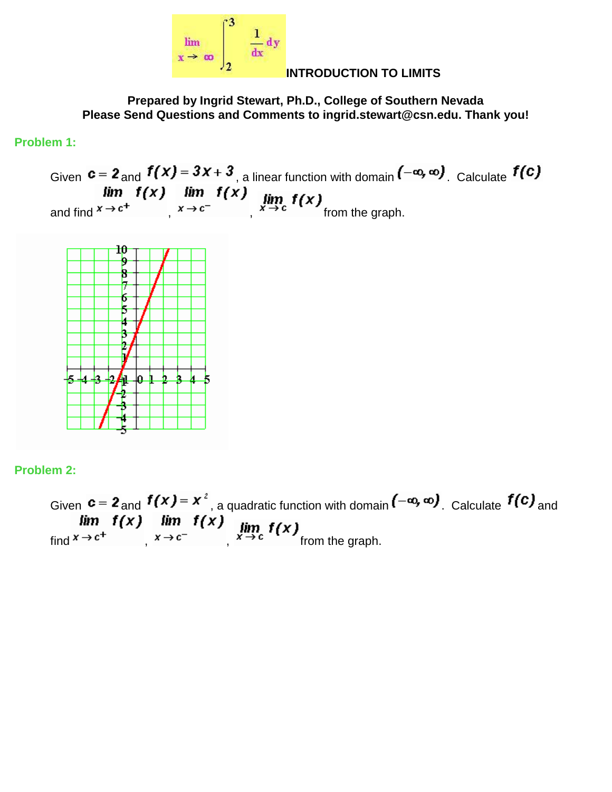

#### **INTRODUCTION TO LIMITS**

**Prepared by Ingrid Stewart, Ph.D., College of Southern Nevada Please Send Questions and Comments to ingrid.stewart@csn.edu. Thank you!**

#### **Problem 1:**

Given  $c = z$  and  $I(X) = 3X + 3$ , a linear function with domain  $I^{-\alpha}$ ,  $\alpha$ . Calculate and find  $x \rightarrow c$ ,  $x \rightarrow c$ ,  $x \rightarrow c$  from the graph.



#### **Problem 2:**

Given  $c = 2$  and  $f(x) = x^2$ , a quadratic function with domain  $(-\infty, \infty)$ . Calculate  $f(c)$  and  $\lim_{x \to c^+} f(x)$   $\lim_{x \to c^-} f(x)$   $\lim_{x \to c} f(x)$  from the graph.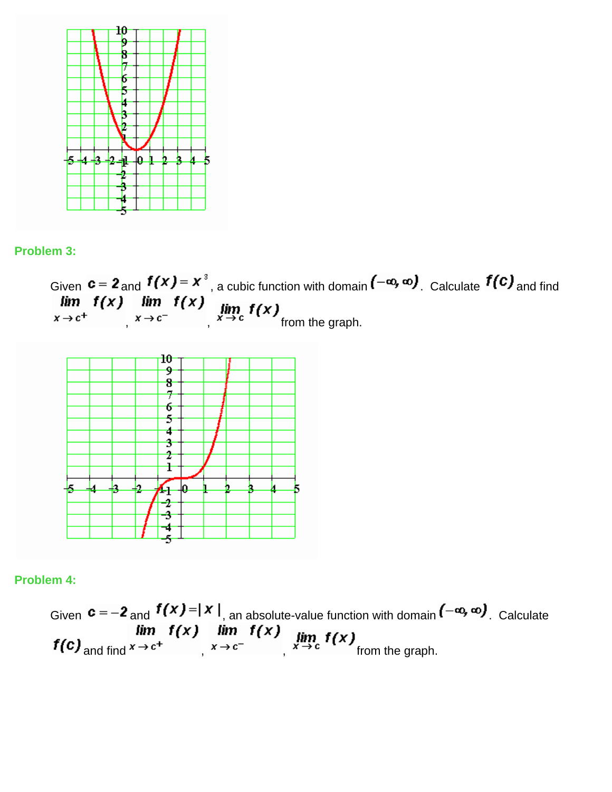

#### **Problem 3:**

Given  $c = z$  and  $I(X) = X$ , a cubic function with domain  $I^{-\alpha}$ ,  $\alpha$ , Calculate  $I(Y)$  and find ,  $x \rightarrow c$ ,  $x \rightarrow c$  from the graph.



#### **Problem 4:**

Given  $c = -2$  and  $f(x) = |x|$ , an absolute-value function with domain  $(-\infty, \infty)$ . Calculate **and find**  $x \to c^+$   $\lim_{x \to c^-} f(x)$   $\lim_{x \to c^-} f(x)$  from the graph.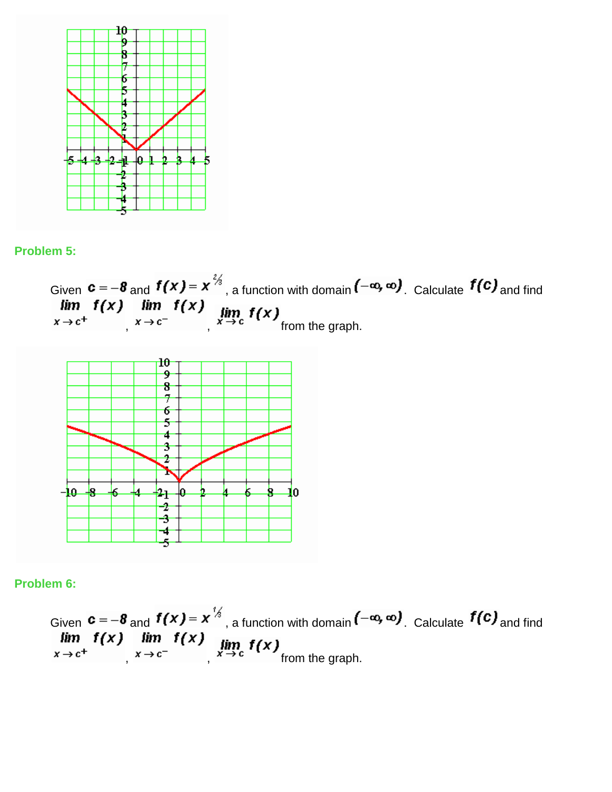

#### **Problem 5:**





**Problem 6:**

Given  $c = -\delta$  and  $I(X) = X$ , a function with domain  $\begin{bmatrix} -a, a \end{bmatrix}$ . Calculate  $I(Y)$  and find ,  $x \rightarrow c$ ,  $x \rightarrow c$  from the graph.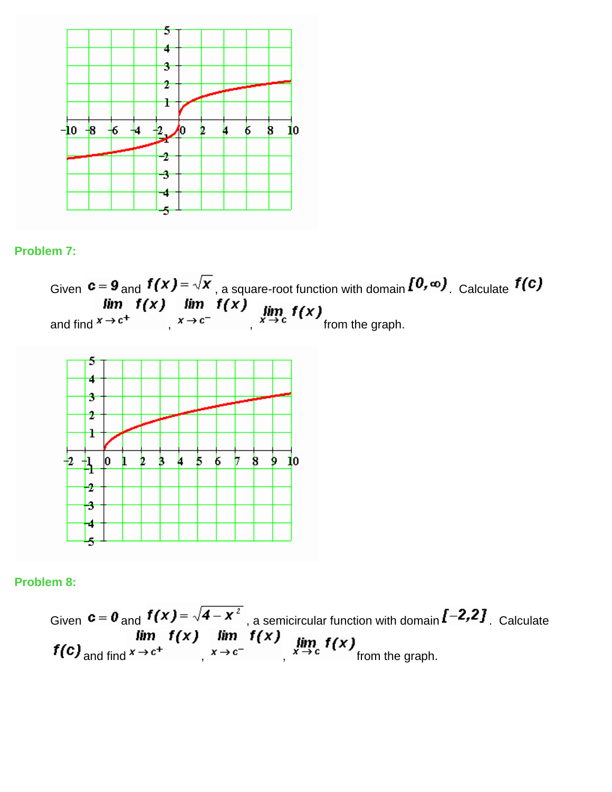

#### **Problem 7:**



#### **Problem 8:**

Given  $c = 0$  and  $I(X) = \sqrt{1 - X}$ , a semicircular function with domain  $I^{-1}$ , Calculate and find  $x \rightarrow c$ ,  $x \rightarrow c$ ,  $x \rightarrow c$  from the graph.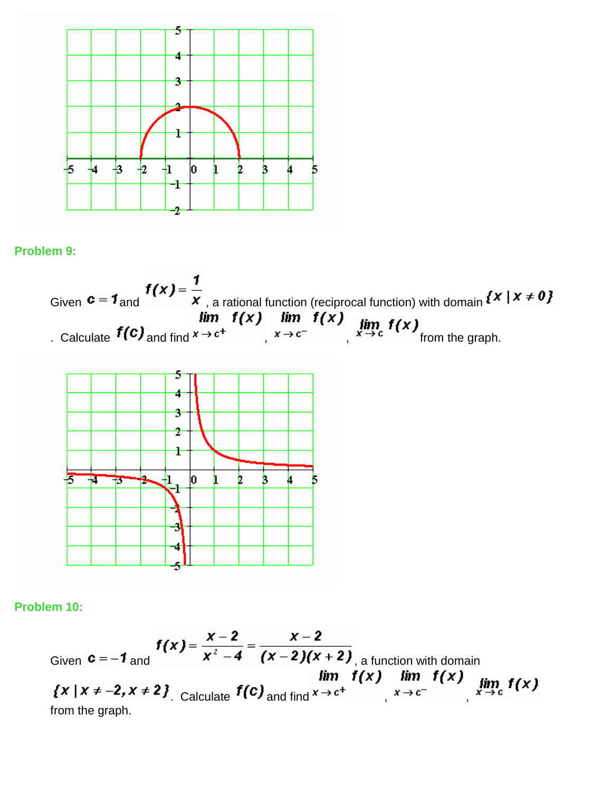

# **Problem 9:**

Given 
$$
\mathbf{c} = \mathbf{1}_{\text{and}} \mathbf{f}(x) = \frac{1}{x}
$$
, a rational function (reciprocal function) with domain  $\{x \mid x \neq 0\}$   
\n*lim*  $\mathbf{f}(x)$  *lim*  $\mathbf{f}(x)$  *lim*  $\mathbf{f}(x)$  *lim*  $\mathbf{f}(x)$   
\n. Calculate  $\mathbf{f}(\mathbf{c})$  and find  $x \to c^+$   $\left.\begin{array}{c} x \to c^- \\ x \to c^- \end{array}\right|$ ,  $\lim_{x \to c^-} \mathbf{f}(x)$  from the graph.



# **Problem 10:**

Given 
$$
c = -1
$$
 and  $f(x) = \frac{x-2}{x^2-4} = \frac{x-2}{(x-2)(x+2)}$ , a function with domain  
\n
$$
\lim_{x \to c^-} f(x) = \lim_{x \to c^+} f(x) = \lim_{x \to c^+} f(x) = \lim_{x \to c^-} f(x)
$$
\nfrom the graph.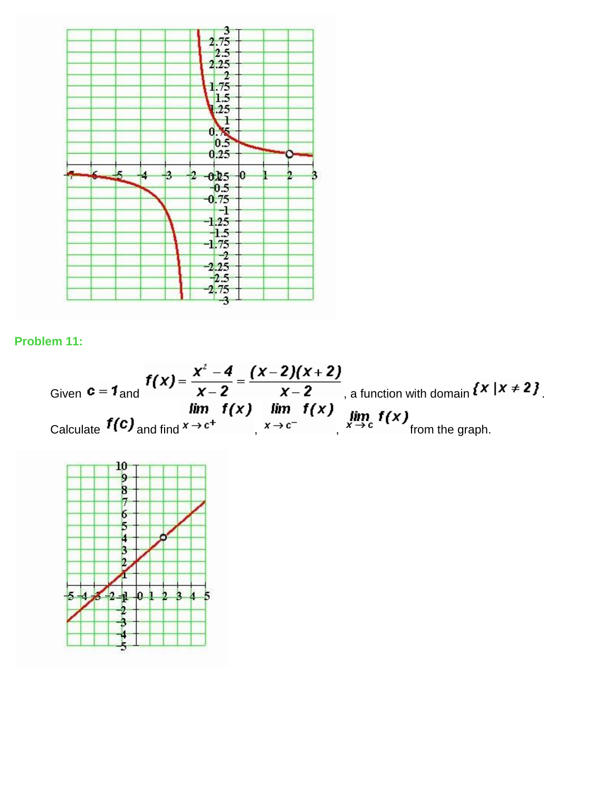

**Problem 11:**

Given 
$$
\mathbf{c} = \mathbf{1}_{\text{and}} \mathbf{f}(\mathbf{x}) = \frac{\mathbf{x}^2 - \mathbf{4}}{\mathbf{x} - \mathbf{2}} = \frac{(\mathbf{x} - \mathbf{2})(\mathbf{x} + \mathbf{2})}{\mathbf{x} - \mathbf{2}}
$$
, a function with domain  $\{x \mid x \neq 2\}$ .  
Calculate  $\mathbf{f}(\mathbf{c})$  and find  $\mathbf{x} \to \mathbf{c}^+$   $\mathbf{f}(\mathbf{x})$   $\lim_{\mathbf{x} \to \mathbf{c}^-} \mathbf{f}(\mathbf{x})$  from the graph.

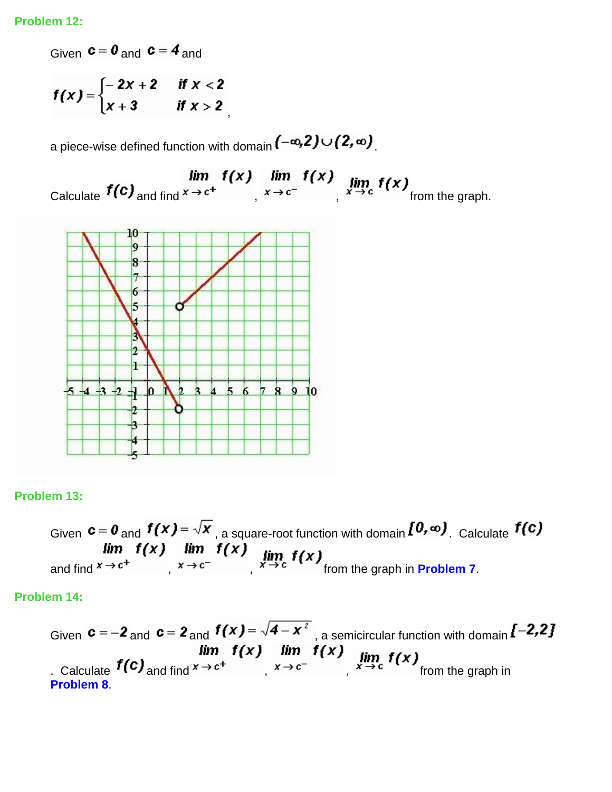Given  $c = 0$  and  $c = 4$  and

$$
f(x) = \begin{cases} -2x+2 & \text{if } x < 2 \\ x+3 & \text{if } x > 2 \end{cases}
$$

a piece-wise defined function with domain  $(-\infty,2)\cup(2,\infty)$ 

,

 $\lim_{x \to c^+} f(x) \lim_{x \to c^+} f(x)$   $\lim_{x \to c^-} f(x)$   $\lim_{x \to c} f(x)$  from the graph.



#### **Problem 13:**

Given  $c = 0$  and  $I(X) = \sqrt{X}$ , a square-root function with domain  $I(Y, \omega)$ . Calculate and find  $x \to c$ ,  $x \to c$ ,  $x \to c$ , from the graph in **Problem 7**.

**Problem 14:**

Given  $c = -2$  and  $c = 2$  and  $f(x) = \sqrt{4-x^2}$ , a semicircular function with domain  $[-2,2]$ . Calculate  $f(c)$  and find  $x \to c^+$  ,  $f(x)$  and  $f(x)$  ,  $\lim_{x \to c^-} f(x)$  from the graph in **Problem 8**.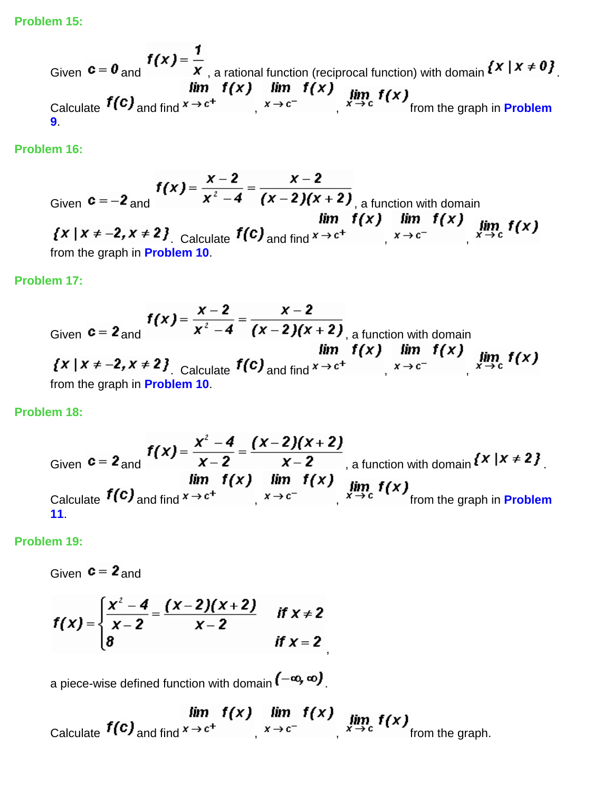**Problem 15:**

Given 
$$
c = 0
$$
 and  $f(x) = \frac{1}{x}$ , a rational function (reciprocal function) with domain  $\{x \mid x \neq 0\}$ .  
\nCalculate  $f(c)$  and find  $x \rightarrow c^+$   
\n $f(x)$ ,  $\lim_{x \rightarrow c^-} f(x)$   
\n $f(x)$   
\n $f(x)$   
\n $f(x)$   
\nfrom the graph in Problem  
\n9.

**Problem 16:**

Given 
$$
c = -2
$$
 and  $f(x) = \frac{x-2}{x^2-4} = \frac{x-2}{(x-2)(x+2)}$ , a function with domain  
\n
$$
\lim_{x \to c^-} f(x) = \lim_{x \to c^+} f(x) = \lim_{x \to c^+} f(x) = \lim_{x \to c^-} f(x)
$$
\nfrom the graph in Problem 10.

#### **Problem 17:**

Given 
$$
c = 2
$$
 and  
\n
$$
f(x) = \frac{x-2}{x^2-4} = \frac{x-2}{(x-2)(x+2)}
$$
\na function with domain  
\n
$$
f(x) = \lim_{x \to c^-} f(x) = \lim_{x \to c^+} f(x) = \lim_{x \to c^-} f(x)
$$
\nfrom the graph in Problem 10.

#### **Problem 18:**

Given 
$$
c = 2
$$
 and  $f(x) = \frac{x^2 - 4}{x - 2} = \frac{(x - 2)(x + 2)}{x - 2}$ , a function with domain  $\{x \mid x \neq 2\}$   
  $\lim_{x \to c^+} f(x) = \lim_{x \to c^-} f(x)$ 

,

## **Problem 19:**

Given  $c = 2$  and

$$
f(x) = \begin{cases} \frac{x^2 - 4}{x - 2} = \frac{(x - 2)(x + 2)}{x - 2} & \text{if } x \neq 2 \\ 8 & \text{if } x = 2 \end{cases}
$$

a piece-wise defined function with domain  $(-\infty, \infty)$ .

 $\lim_{x \to c^+} f(x) \lim_{x \to c^+} f(x)$   $\lim_{x \to c^-} f(x) \lim_{x \to c} f(x)$  from the graph.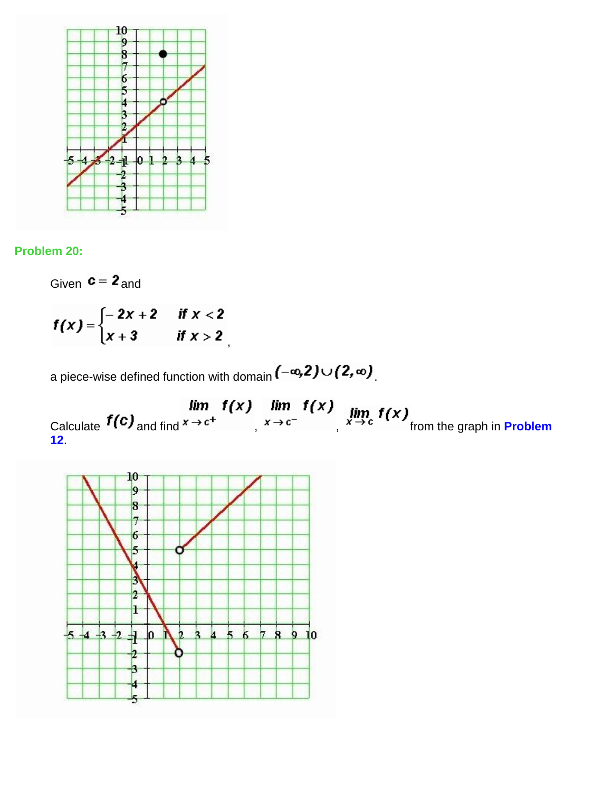

#### **Problem 20:**

Given  $c = 2$  and

$$
f(x) = \begin{cases} -2x+2 & \text{if } x < 2 \\ x+3 & \text{if } x > 2 \end{cases}
$$

a piece-wise defined function with domain  $(-\infty,2)\cup(2,\infty)$ 

**Calculate**  $f(c)$  and find  $x \to c^+$  **if the and find**  $x \to c^-$  **f**  $f(x)$  **f**  $\lim_{x \to c^-} f(x)$  **from the graph in Problem 12**.

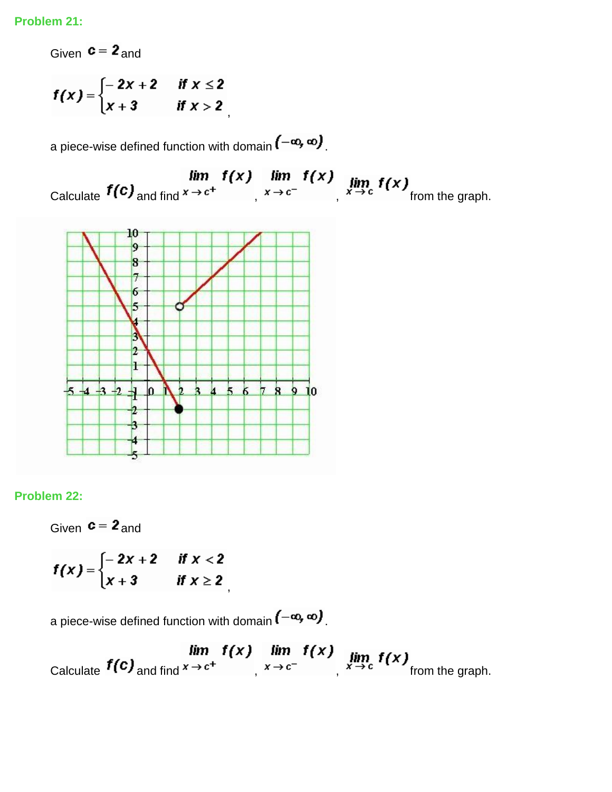Given  $c = 2$  and

$$
f(x) = \begin{cases} -2x+2 & \text{if } x \leq 2 \\ x+3 & \text{if } x > 2 \end{cases}
$$

a piece-wise defined function with domain  $(-\infty, \infty)$ .

,

 $\lim_{x \to c^+} f(x) \lim_{x \to c^+} f(x) \lim_{x \to c^-} f(x) \lim_{x \to c^+} f(x)$  from the graph.



#### **Problem 22:**

Given  $c = 2$  and

$$
f(x) = \begin{cases} -2x+2 & \text{if } x < 2 \\ x+3 & \text{if } x \geq 2 \end{cases}
$$

a piece-wise defined function with domain  $(-\infty, \infty)$ .

 $\lim_{x \to c^+} f(x) \lim_{x \to c^+} f(x)$   $\lim_{x \to c^-} f(x) \lim_{x \to c^+} f(x)$  from the graph.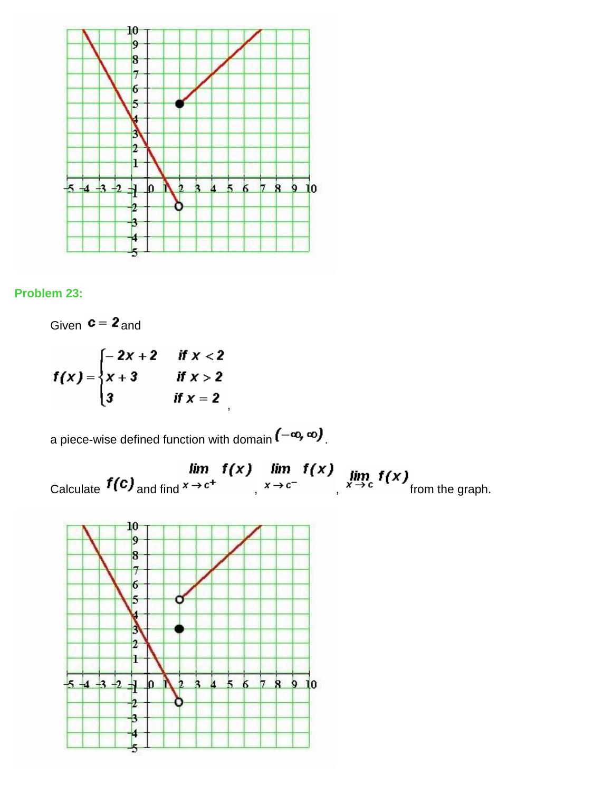



Given  $c = 2$  and  $f(x) = \begin{cases} -2x+2 & \text{if } x < 2 \\ x+3 & \text{if } x > 2 \\ 3 & \text{if } x = 2 \end{cases}$ 

a piece-wise defined function with domain  $(-\infty, \infty)$ .

 $\lim_{x \to c^+} f(x) \lim_{x \to c^+} f(x)$   $\lim_{x \to c^-} f(x) \lim_{x \to c} f(x)$  from the graph.

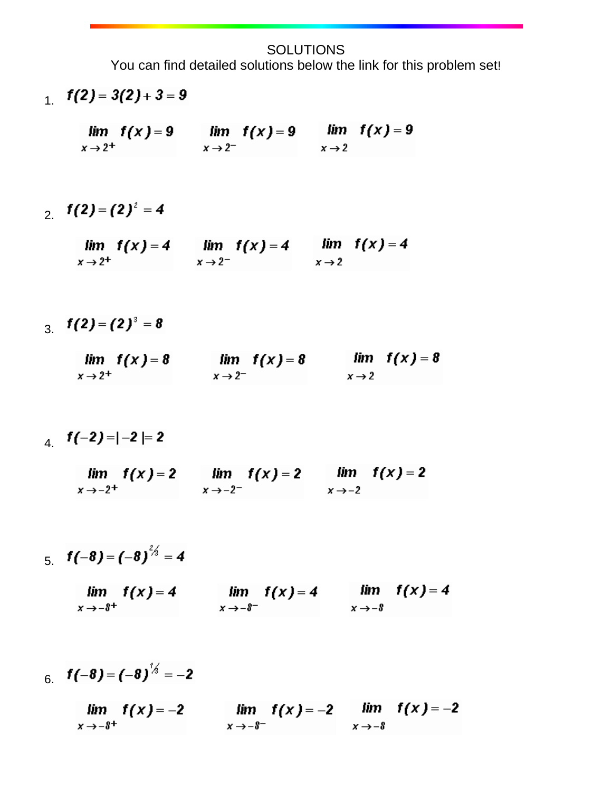**SOLUTIONS** 

You can find detailed solutions below the link for this problem set!

- $1. f(2) = 3(2) + 3 = 9$ 
	- $\lim f(x) = 9$   $\lim f(x) = 9$   $\lim f(x) = 9$  $x \rightarrow 2^$  $x \rightarrow 2^+$  $x \rightarrow 2$
- 2.  $f(2)=(2)^2=4$ 
	- lim f(x) = 4 lim f(x) = 4 lim f(x) = 4<br>x→2<sup>+</sup> x→2<sup>-</sup> x→2  $x \rightarrow 2^+$
- $3. f(2) = (2)^3 = 8$ 
	- $\lim_{x \to 2^+} f(x) = 8$   $\lim_{x \to 2^-} f(x) = 8$  $\lim f(x) = 8$  $x \rightarrow 2$  $x \rightarrow 2^+$
- 4.  $f(-2) = |-2| = 2$ 
	- $\lim f(x) = 2$   $\lim f(x) = 2$   $\lim f(x) = 2$  $x \rightarrow -2^ x \rightarrow -2$  $x \rightarrow -2^+$
- 5.  $f(-8) = (-8)^{2/3} = 4$ 
	- $\lim_{x \to -\delta^-} f(x) = 4$   $\lim_{x \to -\delta} f(x) = 4$  $lim f(x)=4$  $x \rightarrow -8$ <sup>+</sup>
- 6.  $f(-8) = (-8)^{1/2} = -2$

$$
\lim_{x \to -\delta^+} f(x) = -2 \qquad \lim_{x \to -\delta^-} f(x) = -2 \qquad \lim_{x \to -\delta} f(x) = -2
$$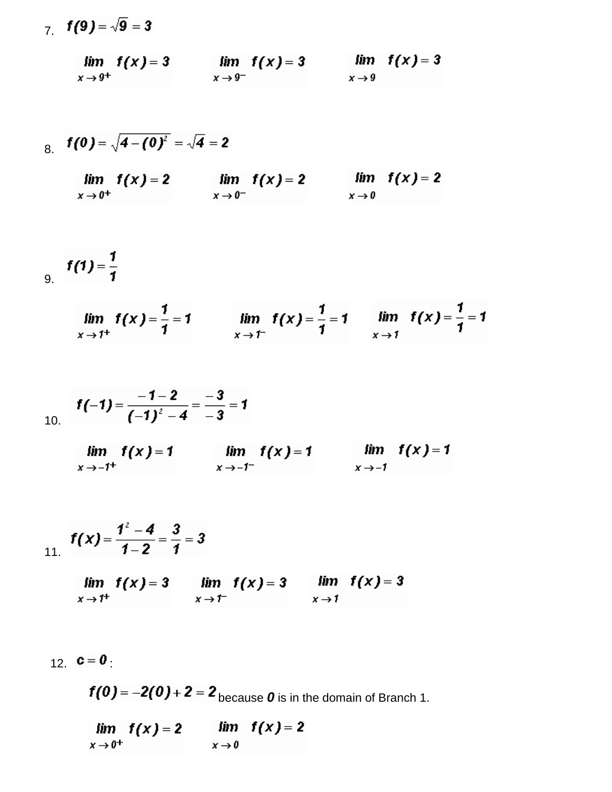7.  $f(9) = \sqrt{9} = 3$ 

$$
\lim_{x \to 9^+} f(x) = 3 \qquad \lim_{x \to 9^-} f(x) = 3 \qquad \lim_{x \to 9} f(x) = 3
$$

8. 
$$
f(0) = \sqrt{4 - (0)^2} = \sqrt{4} = 2
$$
  
\n
$$
\lim_{x \to 0^+} f(x) = 2
$$
\n
$$
\lim_{x \to 0^+} f(x) = 2
$$
\n
$$
\lim_{x \to 0^-} f(x) = 2
$$
\n
$$
\lim_{x \to 0} f(x) = 2
$$

$$
f(1)=\frac{1}{1}
$$

$$
\lim_{x \to 1^+} f(x) = \frac{1}{1} = 1 \qquad \lim_{x \to 1^-} f(x) = \frac{1}{1} = 1 \qquad \lim_{x \to 1} f(x) = \frac{1}{1} = 1
$$

$$
f(-1) = \frac{-1-2}{(-1)^2-4} = \frac{-3}{-3} = 1
$$

$$
\lim_{x \to -1^+} f(x) = 1 \qquad \lim_{x \to -1^-} f(x) = 1 \qquad \lim_{x \to -1} f(x) = 1
$$

$$
f(x) = \frac{1^2 - 4}{1 - 2} = \frac{3}{1} = 3
$$

$$
\lim_{x \to 1^+} f(x) = 3 \qquad \lim_{x \to 1^-} f(x) = 3 \qquad \lim_{x \to 1} f(x) = 3
$$

$$
12. \quad \mathbf{c} = \mathbf{0}
$$

 $f(0) = -2(0) + 2 = 2$  because 0 is in the domain of Branch 1.

 $lim f(x) = 2$  $lim f(x) = 2$  $x \rightarrow 0^+$  $x \rightarrow 0$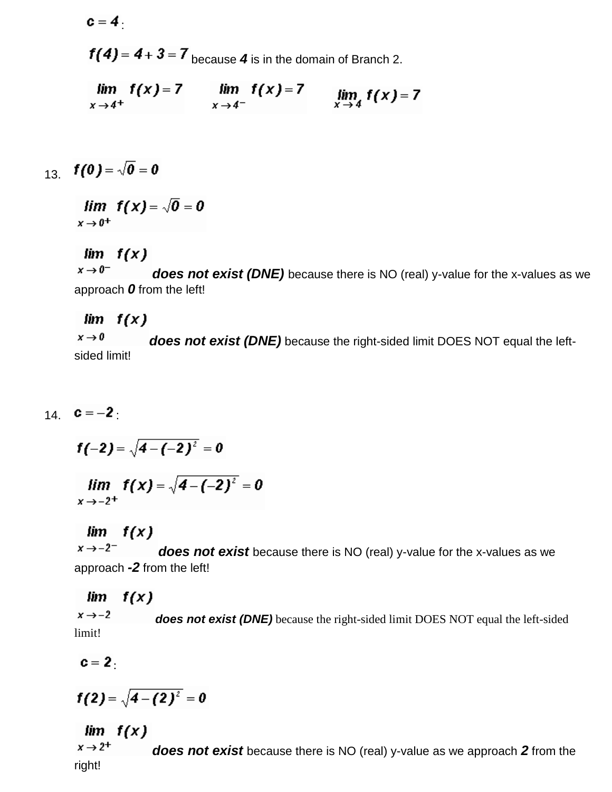$c=4$ .

 $f(4) = 4 + 3 = 7$  because 4 is in the domain of Branch 2.

$$
\lim_{x \to 4^+} f(x) = 7 \qquad \lim_{x \to 4^-} f(x) = 7 \qquad \lim_{x \to 4} f(x) = 7
$$

$$
13. \quad f(0) = \sqrt{0} = 0
$$

 $\lim f(x) = \sqrt{0} = 0$  $x \rightarrow 0^+$ 

## $lim f(x)$

 $x \rightarrow 0^$ *does not exist (DNE)* because there is NO (real) y-value for the x-values as we approach *0* from the left!

## $lim f(x)$

 $x \rightarrow 0$ *does not exist (DNE)* because the right-sided limit DOES NOT equal the leftsided limit!

14.  $c = -2$ .

$$
f(-2) = \sqrt{4 - (-2)^2} = 0
$$

$$
\lim_{x \to -2^+} f(x) = \sqrt{4 - (-2)^2} = 0
$$

### $lim f(x)$

 $x \rightarrow -2^$ *does not exist* because there is NO (real) y-value for the x-values as we approach *-2* from the left!

#### $f(x)$ lim

 $x \rightarrow -2$ *does not exist (DNE)* because the right-sided limit DOES NOT equal the left-sided limit!

 $c=2$ .

$$
f(2) = \sqrt{4-(2)^2} = 0
$$

# $lim f(x)$

 $x \rightarrow 2^+$ *does not exist* because there is NO (real) y-value as we approach *2* from the right!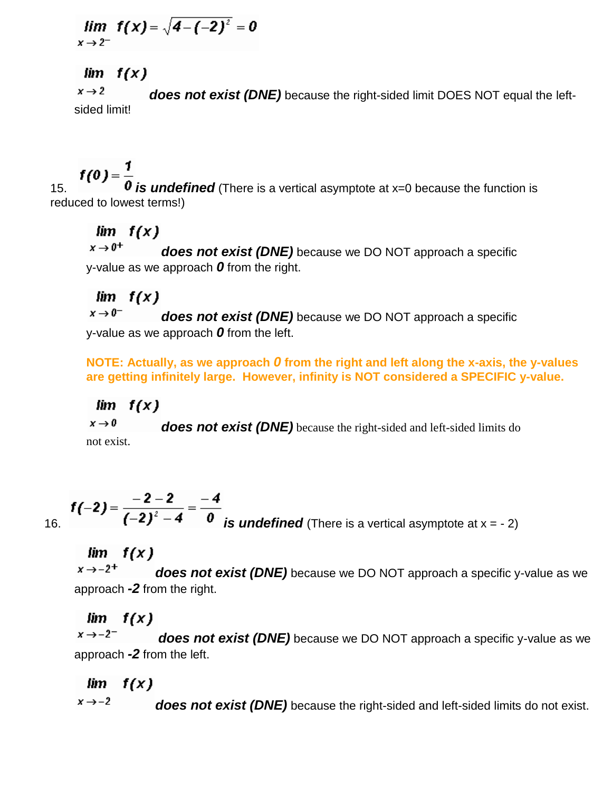$$
\lim_{x \to 2^-} f(x) = \sqrt{4 - (-2)^2} = 0
$$

# $lim f(x)$

 $x \rightarrow 2$ *does not exist (DNE)* because the right-sided limit DOES NOT equal the leftsided limit!

15. **f(0) =**  $\frac{1}{0}$  **is undefined** (There is a vertical asymptote at x=0 because the function is reduced to lowest terms!)

# $lim f(x)$

 $x \rightarrow 0^+$ *does not exist (DNE)* because we DO NOT approach a specific y-value as we approach *0* from the right.

# $lim f(x)$

 $x \rightarrow 0^$ *does not exist (DNE)* because we DO NOT approach a specific y-value as we approach *0* from the left.

**NOTE: Actually, as we approach** *0* **from the right and left along the x-axis, the y-values are getting infinitely large. However, infinity is NOT considered a SPECIFIC y-value.**

# $lim f(x)$

 $x \rightarrow 0$ *does not exist (DNE)* because the right-sided and left-sided limits do not exist.

**f(-2)** =  $\frac{-2-2}{(-2)^2-4}$  =  $\frac{-4}{0}$  **is undefined** (There is a vertical asymptote at x = - 2)

# $lim f(x)$

 $x \rightarrow -2^+$ *does not exist (DNE)* because we DO NOT approach a specific y-value as we approach *-2* from the right.

# $lim f(x)$

 $x \rightarrow -2^$ *does not exist (DNE)* because we DO NOT approach a specific y-value as we approach *-2* from the left.

#### $f(x)$ lim

 $x \rightarrow -2$ *does not exist (DNE)* because the right-sided and left-sided limits do not exist.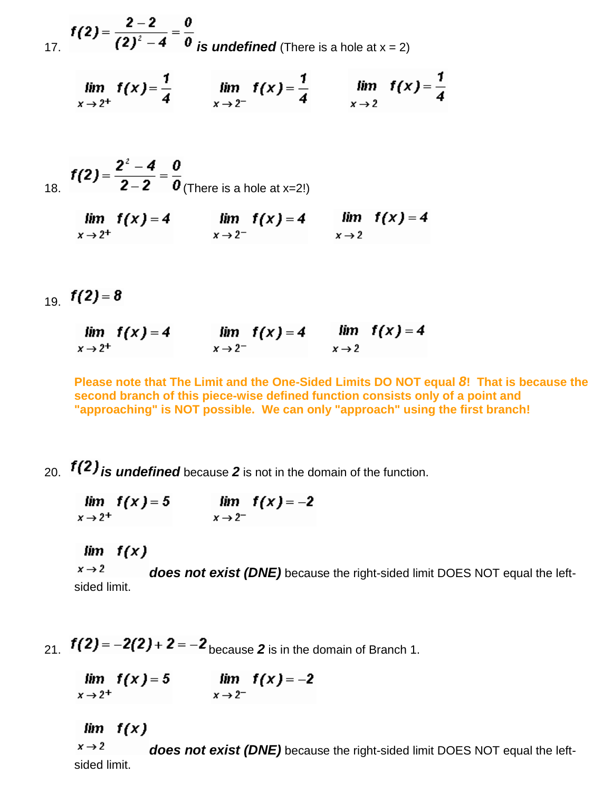**f(2)** =  $\frac{2-2}{(2)^2-4} = \frac{0}{0}$  *is undefined* (There is a hole at x = 2)

$$
\lim_{x \to 2^+} f(x) = \frac{1}{4} \qquad \lim_{x \to 2^-} f(x) = \frac{1}{4} \qquad \lim_{x \to 2} f(x) = \frac{1}{4}
$$

18. 
$$
f(2) = \frac{2^2 - 4}{2 - 2} = \frac{0}{0}
$$
 (There is a hole at x=2!)

$$
\lim_{x \to 2^+} f(x) = 4 \qquad \lim_{x \to 2^-} f(x) = 4 \qquad \lim_{x \to 2} f(x) = 4
$$

$$
_{19.} \ f(2)=8
$$

| $\lim f(x) = 4$     | $lim f(x)=4$        |                   | $\lim f(x) = 4$ |
|---------------------|---------------------|-------------------|-----------------|
| $x \rightarrow 2^+$ | $x \rightarrow 2^-$ | $x \rightarrow 2$ |                 |

**Please note that The Limit and the One-Sided Limits DO NOT equal** *8***! That is because the second branch of this piece-wise defined function consists only of a point and "approaching" is NOT possible. We can only "approach" using the first branch!** 

# 20. **f(2)** is undefined because 2 is not in the domain of the function.

|                     | $\lim f(x) = 5$ |                     | $lim f(x) = -2$ |
|---------------------|-----------------|---------------------|-----------------|
| $x \rightarrow 2^+$ |                 | $x \rightarrow 2^-$ |                 |

#### $lim f(x)$

 $x \rightarrow 2$ *does not exist (DNE)* because the right-sided limit DOES NOT equal the leftsided limit.

21.  $f(2) = -2(2) + 2 = -2$  because 2 is in the domain of Branch 1.

 $\lim_{x \to 2^+} f(x) = 5$   $\lim_{x \to 2^-} f(x) = -2$  $x \rightarrow 2^+$ 

 $lim f(x)$ 

 $x \rightarrow 2$ *does not exist (DNE)* because the right-sided limit DOES NOT equal the leftsided limit.